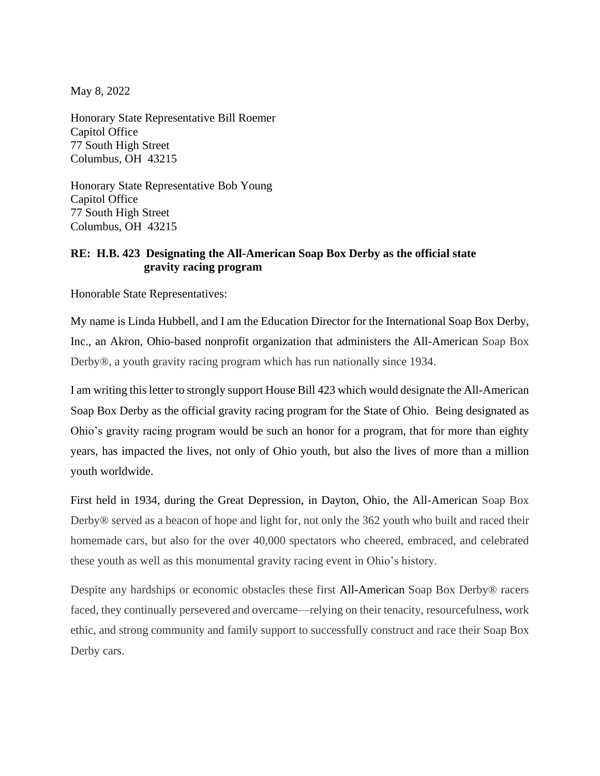May 8, 2022

Honorary State Representative Bill Roemer Capitol Office 77 South High Street Columbus, OH 43215

Honorary State Representative Bob Young Capitol Office 77 South High Street Columbus, OH 43215

## **RE: H.B. 423 Designating the All-American Soap Box Derby as the official state gravity racing program**

Honorable State Representatives:

My name is Linda Hubbell, and I am the Education Director for the International Soap Box Derby, Inc., an Akron, Ohio-based nonprofit organization that administers the All-American Soap Box Derby®, a youth gravity racing program which has run nationally since 1934.

I am writing this letter to strongly support House Bill 423 which would designate the All-American Soap Box Derby as the official gravity racing program for the State of Ohio. Being designated as Ohio's gravity racing program would be such an honor for a program, that for more than eighty years, has impacted the lives, not only of Ohio youth, but also the lives of more than a million youth worldwide.

First held in 1934, during the Great Depression, in Dayton, Ohio, the All-American Soap Box Derby® served as a beacon of hope and light for, not only the 362 youth who built and raced their homemade cars, but also for the over 40,000 spectators who cheered, embraced, and celebrated these youth as well as this monumental gravity racing event in Ohio's history.

Despite any hardships or economic obstacles these first All-American Soap Box Derby® racers faced, they continually persevered and overcame—relying on their tenacity, resourcefulness, work ethic, and strong community and family support to successfully construct and race their Soap Box Derby cars.